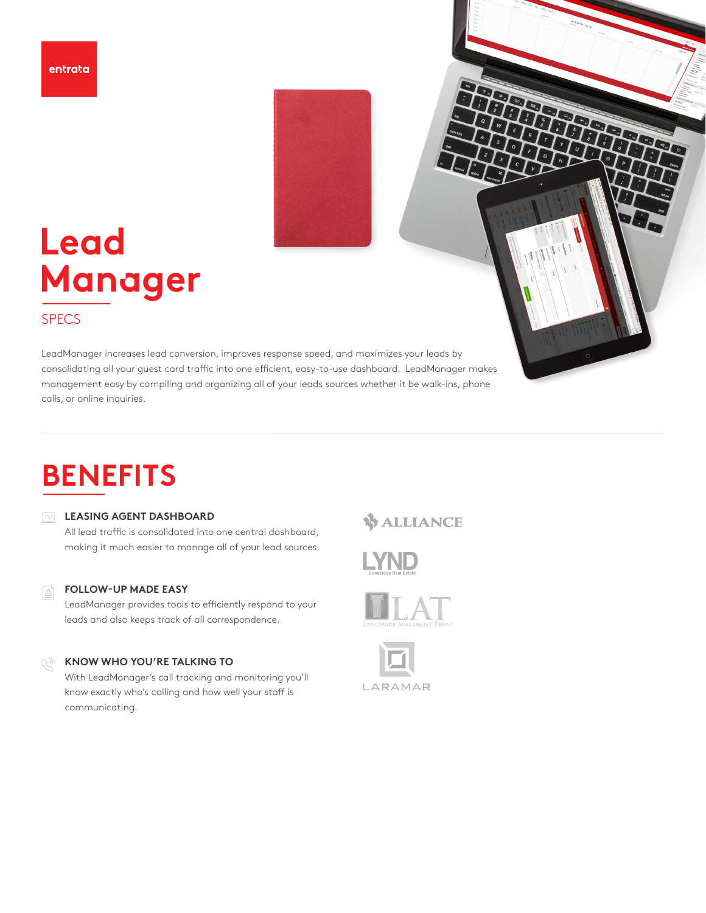

# **Lead Man**a**ger**

## SPECS

LeadManager increases lead conversion, improves response speed, and maximizes your leads by consolidating all your guest card traffic into one efficient, easy-to-use dashboard. LeadManager makes management easy by compiling and organizing all of your leads sources whether it be walk-ins, phone calls, or online inquiries.

# **BENEFITS**

## **LEASING AGENT DASHBOARD**

All lead traffic is consolidated into one central dashboard, making it much easier to manage all of your lead sources.

#### **FOLLOW-UP MADE EASY**  Ŀ

LeadManager provides tools to efficiently respond to your leads and also keeps track of all correspondence.

## **KNOW WHO YOU'RE TALKING TO**

With LeadManager's call tracking and monitoring you'll know exactly who's calling and how well your staff is communicating.

## **WALLIANCE**

TRAC